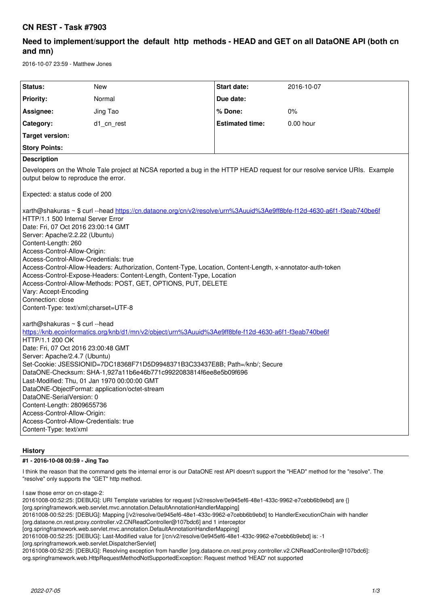## **CN REST - Task #7903**

# **Need to implement/support the default http methods - HEAD and GET on all DataONE API (both cn and mn)**

2016-10-07 23:59 - Matthew Jones

| Status:                                                                                                                                                                                                                                                                                                                                                                                                                                                                                                                                                                                                                                                                               | <b>New</b> | <b>Start date:</b>     | 2016-10-07  |
|---------------------------------------------------------------------------------------------------------------------------------------------------------------------------------------------------------------------------------------------------------------------------------------------------------------------------------------------------------------------------------------------------------------------------------------------------------------------------------------------------------------------------------------------------------------------------------------------------------------------------------------------------------------------------------------|------------|------------------------|-------------|
| Priority:                                                                                                                                                                                                                                                                                                                                                                                                                                                                                                                                                                                                                                                                             | Normal     | Due date:              |             |
| Assignee:                                                                                                                                                                                                                                                                                                                                                                                                                                                                                                                                                                                                                                                                             | Jing Tao   | % Done:                | 0%          |
| Category:                                                                                                                                                                                                                                                                                                                                                                                                                                                                                                                                                                                                                                                                             | d1 cn rest | <b>Estimated time:</b> | $0.00$ hour |
| <b>Target version:</b>                                                                                                                                                                                                                                                                                                                                                                                                                                                                                                                                                                                                                                                                |            |                        |             |
| <b>Story Points:</b>                                                                                                                                                                                                                                                                                                                                                                                                                                                                                                                                                                                                                                                                  |            |                        |             |
| <b>Description</b>                                                                                                                                                                                                                                                                                                                                                                                                                                                                                                                                                                                                                                                                    |            |                        |             |
| Developers on the Whole Tale project at NCSA reported a bug in the HTTP HEAD request for our resolve service URIs. Example<br>output below to reproduce the error.                                                                                                                                                                                                                                                                                                                                                                                                                                                                                                                    |            |                        |             |
| Expected: a status code of 200                                                                                                                                                                                                                                                                                                                                                                                                                                                                                                                                                                                                                                                        |            |                        |             |
| xarth@shakuras ~ \$ curl --head https://cn.dataone.org/cn/v2/resolve/urn%3Auuid%3Ae9ff8bfe-f12d-4630-a6f1-f3eab740be6f<br>HTTP/1.1 500 Internal Server Error<br>Date: Fri, 07 Oct 2016 23:00:14 GMT<br>Server: Apache/2.2.22 (Ubuntu)<br>Content-Length: 260<br>Access-Control-Allow-Origin:<br>Access-Control-Allow-Credentials: true<br>Access-Control-Allow-Headers: Authorization, Content-Type, Location, Content-Length, x-annotator-auth-token<br>Access-Control-Expose-Headers: Content-Length, Content-Type, Location<br>Access-Control-Allow-Methods: POST, GET, OPTIONS, PUT, DELETE<br>Vary: Accept-Encoding<br>Connection: close<br>Content-Type: text/xml;charset=UTF-8 |            |                        |             |
| xarth@shakuras $\sim$ \$ curl --head<br>https://knb.ecoinformatics.org/knb/d1/mn/v2/object/urn%3Auuid%3Ae9ff8bfe-f12d-4630-a6f1-f3eab740be6f                                                                                                                                                                                                                                                                                                                                                                                                                                                                                                                                          |            |                        |             |
| HTTP/1.1 200 OK<br>Date: Fri, 07 Oct 2016 23:00:48 GMT                                                                                                                                                                                                                                                                                                                                                                                                                                                                                                                                                                                                                                |            |                        |             |
| Server: Apache/2.4.7 (Ubuntu)                                                                                                                                                                                                                                                                                                                                                                                                                                                                                                                                                                                                                                                         |            |                        |             |
| Set-Cookie: JSESSIONID=7DC18368F71D5D9948371B3C33437E8B; Path=/knb/; Secure                                                                                                                                                                                                                                                                                                                                                                                                                                                                                                                                                                                                           |            |                        |             |
| DataONE-Checksum: SHA-1,927a11b6e46b771c9922083814f6ee8e5b09f696<br>Last-Modified: Thu, 01 Jan 1970 00:00:00 GMT                                                                                                                                                                                                                                                                                                                                                                                                                                                                                                                                                                      |            |                        |             |
| DataONE-ObjectFormat: application/octet-stream                                                                                                                                                                                                                                                                                                                                                                                                                                                                                                                                                                                                                                        |            |                        |             |
| DataONE-SerialVersion: 0<br>Content-Length: 2809655736                                                                                                                                                                                                                                                                                                                                                                                                                                                                                                                                                                                                                                |            |                        |             |
| Access-Control-Allow-Origin:                                                                                                                                                                                                                                                                                                                                                                                                                                                                                                                                                                                                                                                          |            |                        |             |
| Access-Control-Allow-Credentials: true                                                                                                                                                                                                                                                                                                                                                                                                                                                                                                                                                                                                                                                |            |                        |             |
| Content-Type: text/xml                                                                                                                                                                                                                                                                                                                                                                                                                                                                                                                                                                                                                                                                |            |                        |             |

## **History**

## **#1 - 2016-10-08 00:59 - Jing Tao**

I think the reason that the command gets the internal error is our DataONE rest API doesn't support the "HEAD" method for the "resolve". The "resolve" only supports the "GET" http method.

I saw those error on cn-stage-2:

20161008-00:52:25: [DEBUG]: URI Template variables for request [/v2/resolve/0e945ef6-48e1-433c-9962-e7cebb6b9ebd] are {} [org.springframework.web.servlet.mvc.annotation.DefaultAnnotationHandlerMapping] 20161008-00:52:25: [DEBUG]: Mapping [/v2/resolve/0e945ef6-48e1-433c-9962-e7cebb6b9ebd] to HandlerExecutionChain with handler

[org.dataone.cn.rest.proxy.controller.v2.CNReadController@107bdc6] and 1 interceptor

[org.springframework.web.servlet.mvc.annotation.DefaultAnnotationHandlerMapping]

20161008-00:52:25: [DEBUG]: Last-Modified value for [/cn/v2/resolve/0e945ef6-48e1-433c-9962-e7cebb6b9ebd] is: -1 [org.springframework.web.servlet.DispatcherServlet]

20161008-00:52:25: [DEBUG]: Resolving exception from handler [org.dataone.cn.rest.proxy.controller.v2.CNReadController@107bdc6]: org.springframework.web.HttpRequestMethodNotSupportedException: Request method 'HEAD' not supported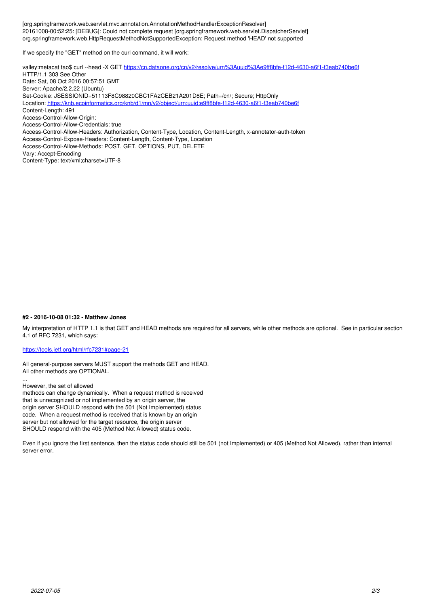[org.springframework.web.servlet.mvc.annotation.AnnotationMethodHandlerExceptionResolver] 20161008-00:52:25: [DEBUG]: Could not complete request [org.springframework.web.servlet.DispatcherServlet] org.springframework.web.HttpRequestMethodNotSupportedException: Request method 'HEAD' not supported

If we specify the "GET" method on the curl command, it will work:

valley:metacat tao\$ curl --head -X GET <https://cn.dataone.org/cn/v2/resolve/urn%3Auuid%3Ae9ff8bfe-f12d-4630-a6f1-f3eab740be6f> HTTP/1.1 303 See Other Date: Sat, 08 Oct 2016 00:57:51 GMT Server: Apache/2.2.22 (Ubuntu) Set-Cookie: JSESSIONID=51113F8C98820CBC1FA2CEB21A201D8E; Path=/cn/; Secure; HttpOnly Location: <https://knb.ecoinformatics.org/knb/d1/mn/v2/object/urn:uuid:e9ff8bfe-f12d-4630-a6f1-f3eab740be6f> Content-Length: 491 Access-Control-Allow-Origin: Access-Control-Allow-Credentials: true Access-Control-Allow-Headers: Authorization, Content-Type, Location, Content-Length, x-annotator-auth-token Access-Control-Expose-Headers: Content-Length, Content-Type, Location Access-Control-Allow-Methods: POST, GET, OPTIONS, PUT, DELETE Vary: Accept-Encoding Content-Type: text/xml;charset=UTF-8

#### **#2 - 2016-10-08 01:32 - Matthew Jones**

My interpretation of HTTP 1.1 is that GET and HEAD methods are required for all servers, while other methods are optional. See in particular section 4.1 of RFC 7231, which says:

#### <https://tools.ietf.org/html/rfc7231#page-21>

All general-purpose servers MUST support the methods GET and HEAD. All other methods are OPTIONAL.

... However, the set of allowed

methods can change dynamically. When a request method is received that is unrecognized or not implemented by an origin server, the origin server SHOULD respond with the 501 (Not Implemented) status code. When a request method is received that is known by an origin server but not allowed for the target resource, the origin server SHOULD respond with the 405 (Method Not Allowed) status code.

Even if you ignore the first sentence, then the status code should still be 501 (not Implemented) or 405 (Method Not Allowed), rather than internal server error.